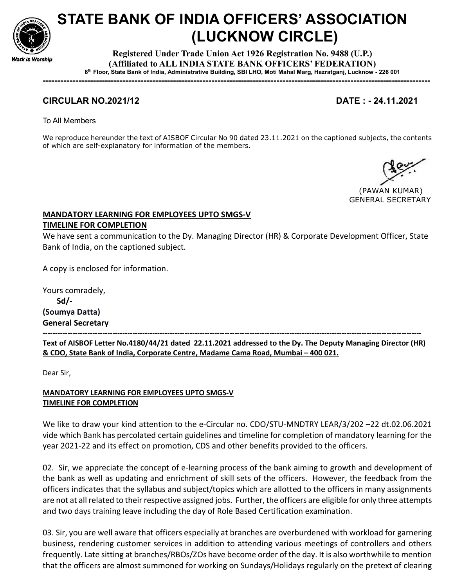

# STATE BANK OF INDIA OFFICERS' ASSOCIATION (LUCKNOW CIRCLE)

Registered Under Trade Union Act 1926 Registration No. 9488 (U.P.) (Affiliated to ALL INDIA STATE BANK OFFICERS' FEDERATION) 8 th Floor, State Bank of India, Administrative Building, SBI LHO, Moti Mahal Marg, Hazratganj, Lucknow - 226 001

-----------------------------------------------------------------------------------------------------------------------------------

## CIRCULAR NO.2021/12 DATE : - 24.11.2021

To All Members

We reproduce hereunder the text of AISBOF Circular No 90 dated 23.11.2021 on the captioned subjects, the contents of which are self-explanatory for information of the members.

 (PAWAN KUMAR) GENERAL SECRETARY

### MANDATORY LEARNING FOR EMPLOYEES UPTO SMGS-V TIMELINE FOR COMPLETION

We have sent a communication to the Dy. Managing Director (HR) & Corporate Development Officer, State Bank of India, on the captioned subject.

A copy is enclosed for information.

Yours comradely, Sd/- (Soumya Datta) General Secretary -------------------------------------------------------------------------------------------------------------------------------------------------------- Text of AISBOF Letter No.4180/44/21 dated 22.11.2021 addressed to the Dy. The Deputy Managing Director (HR) & CDO, State Bank of India, Corporate Centre, Madame Cama Road, Mumbai – 400 021.

Dear Sir,

MANDATORY LEARNING FOR EMPLOYEES UPTO SMGS-V TIMELINE FOR COMPLETION

We like to draw your kind attention to the e-Circular no. CDO/STU-MNDTRY LEAR/3/202 –22 dt.02.06.2021 vide which Bank has percolated certain guidelines and timeline for completion of mandatory learning for the year 2021-22 and its effect on promotion, CDS and other benefits provided to the officers.

02. Sir, we appreciate the concept of e-learning process of the bank aiming to growth and development of the bank as well as updating and enrichment of skill sets of the officers. However, the feedback from the officers indicates that the syllabus and subject/topics which are allotted to the officers in many assignments are not at all related to their respective assigned jobs. Further, the officers are eligible for only three attempts and two days training leave including the day of Role Based Certification examination.

03. Sir, you are well aware that officers especially at branches are overburdened with workload for garnering business, rendering customer services in addition to attending various meetings of controllers and others frequently. Late sitting at branches/RBOs/ZOs have become order of the day. It is also worthwhile to mention that the officers are almost summoned for working on Sundays/Holidays regularly on the pretext of clearing